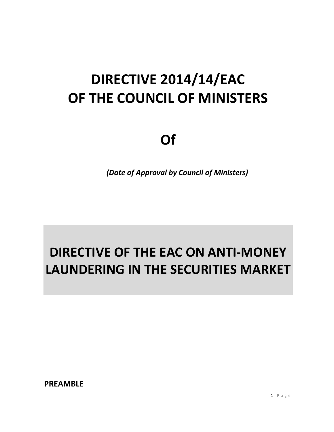# **DIRECTIVE 2014/14/EAC OF THE COUNCIL OF MINISTERS**

# **Of**

*(Date of Approval by Council of Ministers)*

# **DIRECTIVE OF THE EAC ON ANTI-MONEY LAUNDERING IN THE SECURITIES MARKET**

**PREAMBLE**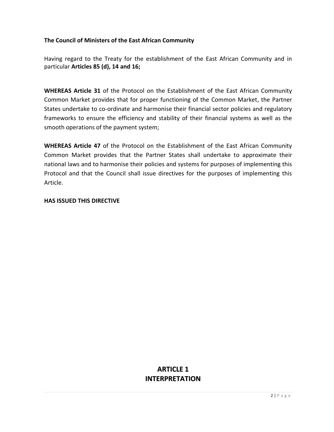#### **The Council of Ministers of the East African Community**

Having regard to the Treaty for the establishment of the East African Community and in particular **Articles 85 (d), 14 and 16;**

**WHEREAS Article 31** of the Protocol on the Establishment of the East African Community Common Market provides that for proper functioning of the Common Market, the Partner States undertake to co-ordinate and harmonise their financial sector policies and regulatory frameworks to ensure the efficiency and stability of their financial systems as well as the smooth operations of the payment system;

**WHEREAS Article 47** of the Protocol on the Establishment of the East African Community Common Market provides that the Partner States shall undertake to approximate their national laws and to harmonise their policies and systems for purposes of implementing this Protocol and that the Council shall issue directives for the purposes of implementing this Article.

#### **HAS ISSUED THIS DIRECTIVE**

## **ARTICLE 1 INTERPRETATION**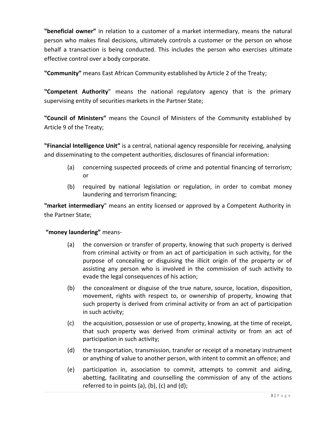**"beneficial owner"** in relation to a customer of a market intermediary, means the natural person who makes final decisions, ultimately controls a customer or the person on whose behalf a transaction is being conducted. This includes the person who exercises ultimate effective control over a body corporate.

**"Community"** means East African Community established by Article 2 of the Treaty;

**"Competent Authority**" means the national regulatory agency that is the primary supervising entity of securities markets in the Partner State;

**"Council of Ministers"** means the Council of Ministers of the Community established by Article 9 of the Treaty;

**"Financial Intelligence Unit"** is a central, national agency responsible for receiving, analysing and disseminating to the competent authorities, disclosures of financial information:

- (a) concerning suspected proceeds of crime and potential financing of terrorism; or
- (b) required by national legislation or regulation, in order to combat money laundering and terrorism financing;

**"market intermediary**" means an entity licensed or approved by a Competent Authority in the Partner State;

#### **"money laundering"** means-

- (a) the conversion or transfer of property, knowing that such property is derived from criminal activity or from an act of participation in such activity, for the purpose of concealing or disguising the illicit origin of the property or of assisting any person who is involved in the commission of such activity to evade the legal consequences of his action;
- (b) the concealment or disguise of the true nature, source, location, disposition, movement, rights with respect to, or ownership of property, knowing that such property is derived from criminal activity or from an act of participation in such activity;
- (c) the acquisition, possession or use of property, knowing, at the time of receipt, that such property was derived from criminal activity or from an act of participation in such activity;
- (d) the transportation, transmission, transfer or receipt of a monetary instrument or anything of value to another person, with intent to commit an offence; and
- (e) participation in, association to commit, attempts to commit and aiding, abetting, facilitating and counselling the commission of any of the actions referred to in points (a), (b), (c) and (d);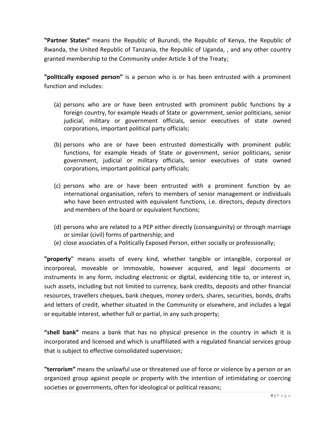**"Partner States"** means the Republic of Burundi, the Republic of Kenya, the Republic of Rwanda, the United Republic of Tanzania, the Republic of Uganda, , and any other country granted membership to the Community under Article 3 of the Treaty;

**"politically exposed person"** is a person who is or has been entrusted with a prominent function and includes:

- (a) persons who are or have been entrusted with prominent public functions by a foreign country, for example Heads of State or government, senior politicians, senior judicial, military or government officials, senior executives of state owned corporations, important political party officials;
- (b) persons who are or have been entrusted domestically with prominent public functions, for example Heads of State or government, senior politicians, senior government, judicial or military officials, senior executives of state owned corporations, important political party officials;
- (c) persons who are or have been entrusted with a prominent function by an international organisation, refers to members of senior management or individuals who have been entrusted with equivalent functions, i.e. directors, deputy directors and members of the board or equivalent functions;
- (d) persons who are related to a PEP either directly (consanguinity) or through marriage or similar (civil) forms of partnership; and
- (e) close associates of a Politically Exposed Person, either socially or professionally;

**"property**" means assets of every kind, whether tangible or intangible, corporeal or incorporeal, moveable or immovable, however acquired, and legal documents or instruments in any form, including electronic or digital, evidencing title to, or interest in, such assets, including but not limited to currency, bank credits, deposits and other financial resources, travellers cheques, bank cheques, money orders, shares, securities, bonds, drafts and letters of credit, whether situated in the Community or elsewhere, and includes a legal or equitable interest, whether full or partial, in any such property;

**"shell bank"** means a bank that has no physical presence in the country in which it is incorporated and licensed and which is unaffiliated with a regulated financial services group that is subject to effective consolidated supervision;

**"terrorism"** means the unlawful use or threatened use of force or violence by a person or an organized group against people or property with the intention of intimidating or coercing societies or governments, often for ideological or political reasons;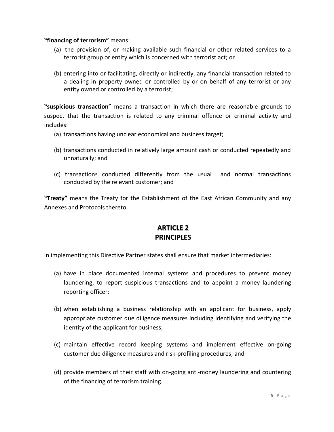#### **"financing of terrorism"** means:

- (a) the provision of, or making available such financial or other related services to a terrorist group or entity which is concerned with terrorist act; or
- (b) entering into or facilitating, directly or indirectly, any financial transaction related to a dealing in property owned or controlled by or on behalf of any terrorist or any entity owned or controlled by a terrorist;

**"suspicious transaction**" means a transaction in which there are reasonable grounds to suspect that the transaction is related to any criminal offence or criminal activity and includes:

- (a) transactions having unclear economical and business target;
- (b) transactions conducted in relatively large amount cash or conducted repeatedly and unnaturally; and
- (c) transactions conducted differently from the usual and normal transactions conducted by the relevant customer; and

**"Treaty"** means the Treaty for the Establishment of the East African Community and any Annexes and Protocols thereto.

## **ARTICLE 2 PRINCIPLES**

In implementing this Directive Partner states shall ensure that market intermediaries:

- (a) have in place documented internal systems and procedures to prevent money laundering, to report suspicious transactions and to appoint a money laundering reporting officer;
- (b) when establishing a business relationship with an applicant for business, apply appropriate customer due diligence measures including identifying and verifying the identity of the applicant for business;
- (c) maintain effective record keeping systems and implement effective on-going customer due diligence measures and risk-profiling procedures; and
- (d) provide members of their staff with on-going anti-money laundering and countering of the financing of terrorism training.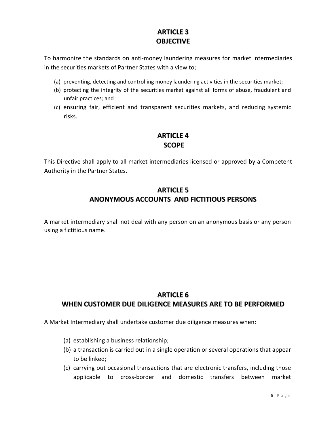# **ARTICLE 3 OBJECTIVE**

To harmonize the standards on anti-money laundering measures for market intermediaries in the securities markets of Partner States with a view to;

- (a) preventing, detecting and controlling money laundering activities in the securities market;
- (b) protecting the integrity of the securities market against all forms of abuse, fraudulent and unfair practices; and
- (c) ensuring fair, efficient and transparent securities markets, and reducing systemic risks.

# **ARTICLE 4 SCOPE**

This Directive shall apply to all market intermediaries licensed or approved by a Competent Authority in the Partner States.

# **ARTICLE 5 ANONYMOUS ACCOUNTS AND FICTITIOUS PERSONS**

A market intermediary shall not deal with any person on an anonymous basis or any person using a fictitious name.

# **ARTICLE 6 WHEN CUSTOMER DUE DILIGENCE MEASURES ARE TO BE PERFORMED**

A Market Intermediary shall undertake customer due diligence measures when:

- (a) establishing a business relationship;
- (b) a transaction is carried out in a single operation or several operations that appear to be linked;
- (c) carrying out occasional transactions that are electronic transfers, including those applicable to cross-border and domestic transfers between market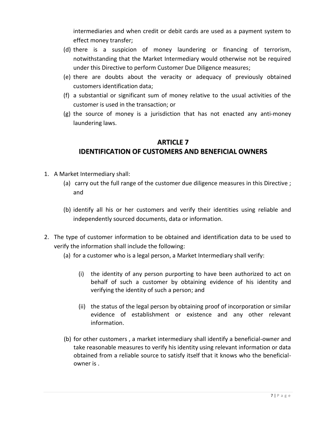intermediaries and when credit or debit cards are used as a payment system to effect money transfer;

- (d) there is a suspicion of money laundering or financing of terrorism, notwithstanding that the Market Intermediary would otherwise not be required under this Directive to perform Customer Due Diligence measures;
- (e) there are doubts about the veracity or adequacy of previously obtained customers identification data;
- (f) a substantial or significant sum of money relative to the usual activities of the customer is used in the transaction; or
- (g) the source of money is a jurisdiction that has not enacted any anti-money laundering laws.

#### **ARTICLE 7**

## **IDENTIFICATION OF CUSTOMERS AND BENEFICIAL OWNERS**

- 1. A Market Intermediary shall:
	- (a) carry out the full range of the customer due diligence measures in this Directive ; and
	- (b) identify all his or her customers and verify their identities using reliable and independently sourced documents, data or information.
- 2. The type of customer information to be obtained and identification data to be used to verify the information shall include the following:
	- (a) for a customer who is a legal person, a Market Intermediary shall verify:
		- (i) the identity of any person purporting to have been authorized to act on behalf of such a customer by obtaining evidence of his identity and verifying the identity of such a person; and
		- (ii) the status of the legal person by obtaining proof of incorporation or similar evidence of establishment or existence and any other relevant information.
	- (b) for other customers , a market intermediary shall identify a beneficial-owner and take reasonable measures to verify his identity using relevant information or data obtained from a reliable source to satisfy itself that it knows who the beneficialowner is .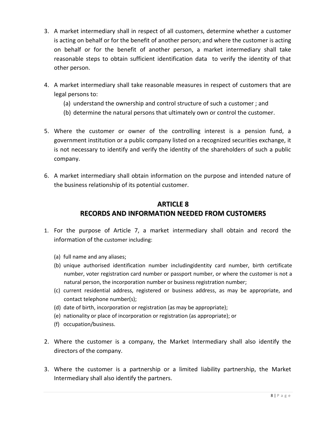- 3. A market intermediary shall in respect of all customers, determine whether a customer is acting on behalf or for the benefit of another person; and where the customer is acting on behalf or for the benefit of another person, a market intermediary shall take reasonable steps to obtain sufficient identification data to verify the identity of that other person.
- 4. A market intermediary shall take reasonable measures in respect of customers that are legal persons to:
	- (a) understand the ownership and control structure of such a customer ; and
	- (b) determine the natural persons that ultimately own or control the customer.
- 5. Where the customer or owner of the controlling interest is a pension fund, a government institution or a public company listed on a recognized securities exchange, it is not necessary to identify and verify the identity of the shareholders of such a public company.
- 6. A market intermediary shall obtain information on the purpose and intended nature of the business relationship of its potential customer.

# **ARTICLE 8 RECORDS AND INFORMATION NEEDED FROM CUSTOMERS**

- 1. For the purpose of Article 7, a market intermediary shall obtain and record the information of the customer including:
	- (a) full name and any aliases;
	- (b) unique authorised identification number includingidentity card number, birth certificate number, voter registration card number or passport number, or where the customer is not a natural person, the incorporation number or business registration number;
	- (c) current residential address, registered or business address, as may be appropriate, and contact telephone number(s);
	- (d) date of birth, incorporation or registration (as may be appropriate);
	- (e) nationality or place of incorporation or registration (as appropriate); or
	- (f) occupation/business.
- 2. Where the customer is a company, the Market Intermediary shall also identify the directors of the company.
- 3. Where the customer is a partnership or a limited liability partnership, the Market Intermediary shall also identify the partners.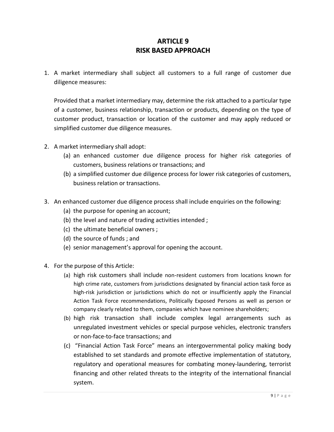## **ARTICLE 9 RISK BASED APPROACH**

1. A market intermediary shall subject all customers to a full range of customer due diligence measures:

Provided that a market intermediary may, determine the risk attached to a particular type of a customer, business relationship, transaction or products, depending on the type of customer product, transaction or location of the customer and may apply reduced or simplified customer due diligence measures.

- 2. A market intermediary shall adopt:
	- (a) an enhanced customer due diligence process for higher risk categories of customers, business relations or transactions; and
	- (b) a simplified customer due diligence process for lower risk categories of customers, business relation or transactions.
- 3. An enhanced customer due diligence process shall include enquiries on the following:
	- (a) the purpose for opening an account;
	- (b) the level and nature of trading activities intended ;
	- (c) the ultimate beneficial owners ;
	- (d) the source of funds ; and
	- (e) senior management's approval for opening the account.
- 4. For the purpose of this Article:
	- (a) high risk customers shall include non‐resident customers from locations known for high crime rate, customers from jurisdictions designated by financial action task force as high-risk jurisdiction or jurisdictions which do not or insufficiently apply the Financial Action Task Force recommendations, Politically Exposed Persons as well as person or company clearly related to them, companies which have nominee shareholders;
	- (b) high risk transaction shall include complex legal arrangements such as unregulated investment vehicles or special purpose vehicles, electronic transfers or non-face-to-face transactions; and
	- (c) "Financial Action Task Force" means an intergovernmental policy making body established to set standards and promote effective implementation of statutory, regulatory and operational measures for combating money-laundering, terrorist financing and other related threats to the integrity of the international financial system.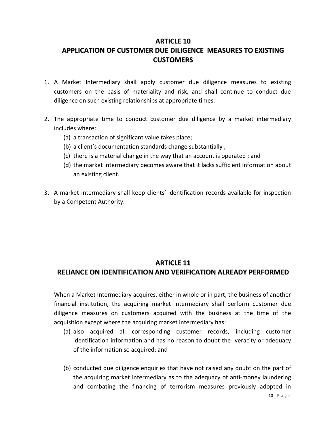#### **ARTICLE 10**

# **APPLICATION OF CUSTOMER DUE DILIGENCE MEASURES TO EXISTING CUSTOMERS**

- 1. A Market Intermediary shall apply customer due diligence measures to existing customers on the basis of materiality and risk, and shall continue to conduct due diligence on such existing relationships at appropriate times.
- 2. The appropriate time to conduct customer due diligence by a market intermediary includes where:
	- (a) a transaction of significant value takes place;
	- (b) a client's documentation standards change substantially ;
	- (c) there is a material change in the way that an account is operated ; and
	- (d) the market intermediary becomes aware that it lacks sufficient information about an existing client.
- 3. A market intermediary shall keep clients' identification records available for inspection by a Competent Authority.

### **ARTICLE 11**

# **RELIANCE ON IDENTIFICATION AND VERIFICATION ALREADY PERFORMED**

When a Market Intermediary acquires, either in whole or in part, the business of another financial institution, the acquiring market intermediary shall perform customer due diligence measures on customers acquired with the business at the time of the acquisition except where the acquiring market intermediary has:

- (a) also acquired all corresponding customer records, including customer identification information and has no reason to doubt the veracity or adequacy of the information so acquired; and
- (b) conducted due diligence enquiries that have not raised any doubt on the part of the acquiring market intermediary as to the adequacy of anti-money laundering and combating the financing of terrorism measures previously adopted in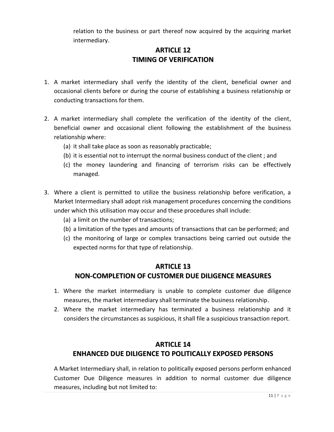relation to the business or part thereof now acquired by the acquiring market intermediary.

# **ARTICLE 12 TIMING OF VERIFICATION**

- 1. A market intermediary shall verify the identity of the client, beneficial owner and occasional clients before or during the course of establishing a business relationship or conducting transactions for them.
- 2. A market intermediary shall complete the verification of the identity of the client, beneficial owner and occasional client following the establishment of the business relationship where:
	- (a) it shall take place as soon as reasonably practicable;
	- (b) it is essential not to interrupt the normal business conduct of the client ; and
	- (c) the money laundering and financing of terrorism risks can be effectively managed.
- 3. Where a client is permitted to utilize the business relationship before verification, a Market Intermediary shall adopt risk management procedures concerning the conditions under which this utilisation may occur and these procedures shall include:
	- (a) a limit on the number of transactions;
	- (b) a limitation of the types and amounts of transactions that can be performed; and
	- (c) the monitoring of large or complex transactions being carried out outside the expected norms for that type of relationship.

### **ARTICLE 13 NON-COMPLETION OF CUSTOMER DUE DILIGENCE MEASURES**

- 1. Where the market intermediary is unable to complete customer due diligence measures, the market intermediary shall terminate the business relationship.
- 2. Where the market intermediary has terminated a business relationship and it considers the circumstances as suspicious, it shall file a suspicious transaction report.

## **ARTICLE 14 ENHANCED DUE DILIGENCE TO POLITICALLY EXPOSED PERSONS**

A Market Intermediary shall, in relation to politically exposed persons perform enhanced Customer Due Diligence measures in addition to normal customer due diligence measures, including but not limited to: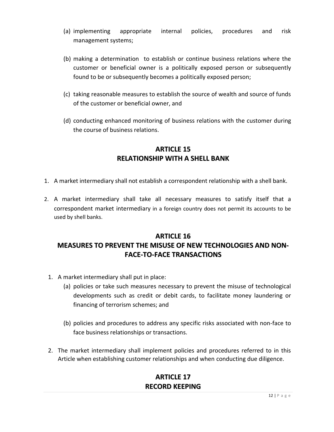- (a) implementing appropriate internal policies, procedures and risk management systems;
- (b) making a determination to establish or continue business relations where the customer or beneficial owner is a politically exposed person or subsequently found to be or subsequently becomes a politically exposed person;
- (c) taking reasonable measures to establish the source of wealth and source of funds of the customer or beneficial owner, and
- (d) conducting enhanced monitoring of business relations with the customer during the course of business relations.

## **ARTICLE 15 RELATIONSHIP WITH A SHELL BANK**

- 1. A market intermediary shall not establish a correspondent relationship with a shell bank.
- 2. A market intermediary shall take all necessary measures to satisfy itself that a correspondent market intermediary in a foreign country does not permit its accounts to be used by shell banks.

# **ARTICLE 16 MEASURES TO PREVENT THE MISUSE OF NEW TECHNOLOGIES AND NON-FACE-TO-FACE TRANSACTIONS**

- 1. A market intermediary shall put in place:
	- (a) policies or take such measures necessary to prevent the misuse of technological developments such as credit or debit cards, to facilitate money laundering or financing of terrorism schemes; and
	- (b) policies and procedures to address any specific risks associated with non-face to face business relationships or transactions.
- 2. The market intermediary shall implement policies and procedures referred to in this Article when establishing customer relationships and when conducting due diligence.

# **ARTICLE 17 RECORD KEEPING**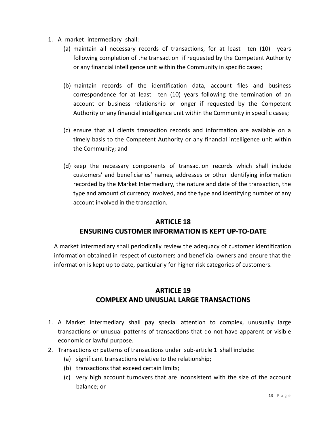- 1. A market intermediary shall:
	- (a) maintain all necessary records of transactions, for at least ten (10) years following completion of the transaction if requested by the Competent Authority or any financial intelligence unit within the Community in specific cases;
	- (b) maintain records of the identification data, account files and business correspondence for at least ten (10) years following the termination of an account or business relationship or longer if requested by the Competent Authority or any financial intelligence unit within the Community in specific cases;
	- (c) ensure that all clients transaction records and information are available on a timely basis to the Competent Authority or any financial intelligence unit within the Community; and
	- (d) keep the necessary components of transaction records which shall include customers' and beneficiaries' names, addresses or other identifying information recorded by the Market Intermediary, the nature and date of the transaction, the type and amount of currency involved, and the type and identifying number of any account involved in the transaction.

# **ARTICLE 18 ENSURING CUSTOMER INFORMATION IS KEPT UP-TO-DATE**

A market intermediary shall periodically review the adequacy of customer identification information obtained in respect of customers and beneficial owners and ensure that the information is kept up to date, particularly for higher risk categories of customers.

## **ARTICLE 19 COMPLEX AND UNUSUAL LARGE TRANSACTIONS**

- 1. A Market Intermediary shall pay special attention to complex, unusually large transactions or unusual patterns of transactions that do not have apparent or visible economic or lawful purpose.
- 2. Transactions or patterns of transactions under sub-article 1 shall include:
	- (a) significant transactions relative to the relationship;
	- (b) transactions that exceed certain limits;
	- (c) very high account turnovers that are inconsistent with the size of the account balance; or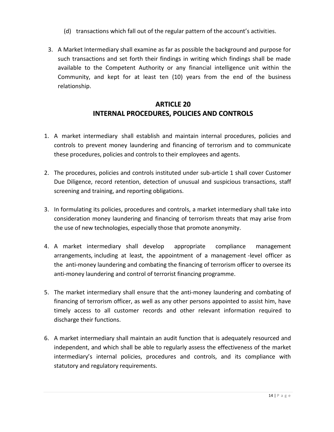- (d) transactions which fall out of the regular pattern of the account's activities.
- 3. A Market Intermediary shall examine as far as possible the background and purpose for such transactions and set forth their findings in writing which findings shall be made available to the Competent Authority or any financial intelligence unit within the Community, and kept for at least ten (10) years from the end of the business relationship.

## **ARTICLE 20 INTERNAL PROCEDURES, POLICIES AND CONTROLS**

- 1. A market intermediary shall establish and maintain internal procedures, policies and controls to prevent money laundering and financing of terrorism and to communicate these procedures, policies and controls to their employees and agents.
- 2. The procedures, policies and controls instituted under sub-article 1 shall cover Customer Due Diligence, record retention, detection of unusual and suspicious transactions, staff screening and training, and reporting obligations.
- 3. In formulating its policies, procedures and controls, a market intermediary shall take into consideration money laundering and financing of terrorism threats that may arise from the use of new technologies, especially those that promote anonymity.
- 4. A market intermediary shall develop appropriate compliance management arrangements, including at least, the appointment of a management -level officer as the anti-money laundering and combating the financing of terrorism officer to oversee its anti-money laundering and control of terrorist financing programme.
- 5. The market intermediary shall ensure that the anti-money laundering and combating of financing of terrorism officer, as well as any other persons appointed to assist him, have timely access to all customer records and other relevant information required to discharge their functions.
- 6. A market intermediary shall maintain an audit function that is adequately resourced and independent, and which shall be able to regularly assess the effectiveness of the market intermediary's internal policies, procedures and controls, and its compliance with statutory and regulatory requirements.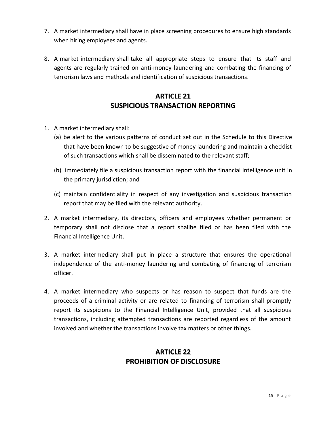- 7. A market intermediary shall have in place screening procedures to ensure high standards when hiring employees and agents.
- 8. A market intermediary shall take all appropriate steps to ensure that its staff and agents are regularly trained on anti-money laundering and combating the financing of terrorism laws and methods and identification of suspicious transactions.

# **ARTICLE 21 SUSPICIOUS TRANSACTION REPORTING**

- 1. A market intermediary shall:
	- (a) be alert to the various patterns of conduct set out in the Schedule to this Directive that have been known to be suggestive of money laundering and maintain a checklist of such transactions which shall be disseminated to the relevant staff;
	- (b) immediately file a suspicious transaction report with the financial intelligence unit in the primary jurisdiction; and
	- (c) maintain confidentiality in respect of any investigation and suspicious transaction report that may be filed with the relevant authority.
- 2. A market intermediary, its directors, officers and employees whether permanent or temporary shall not disclose that a report shallbe filed or has been filed with the Financial Intelligence Unit.
- 3. A market intermediary shall put in place a structure that ensures the operational independence of the anti-money laundering and combating of financing of terrorism officer.
- 4. A market intermediary who suspects or has reason to suspect that funds are the proceeds of a criminal activity or are related to financing of terrorism shall promptly report its suspicions to the Financial Intelligence Unit, provided that all suspicious transactions, including attempted transactions are reported regardless of the amount involved and whether the transactions involve tax matters or other things.

# **ARTICLE 22 PROHIBITION OF DISCLOSURE**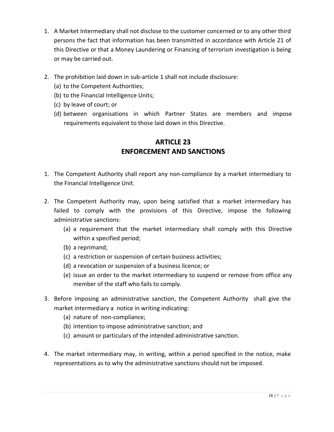- 1. A Market Intermediary shall not disclose to the customer concerned or to any other third persons the fact that information has been transmitted in accordance with Article 21 of this Directive or that a Money Laundering or Financing of terrorism investigation is being or may be carried out.
- 2. The prohibition laid down in sub-article 1 shall not include disclosure:
	- (a) to the Competent Authorities;
	- (b) to the Financial Intelligence Units;
	- (c) by leave of court; or
	- (d) between organisations in which Partner States are members and impose requirements equivalent to those laid down in this Directive.

# **ARTICLE 23 ENFORCEMENT AND SANCTIONS**

- 1. The Competent Authority shall report any non-compliance by a market intermediary to the Financial Intelligence Unit.
- 2. The Competent Authority may, upon being satisfied that a market intermediary has failed to comply with the provisions of this Directive, impose the following administrative sanctions:
	- (a) a requirement that the market intermediary shall comply with this Directive within a specified period;
	- (b) a reprimand;
	- (c) a restriction or suspension of certain business activities;
	- (d) a revocation or suspension of a business licence; or
	- (e) issue an order to the market intermediary to suspend or remove from office any member of the staff who fails to comply.
- 3. Before imposing an administrative sanction, the Competent Authority shall give the market intermediary a notice in writing indicating:
	- (a) nature of non-compliance;
	- (b) intention to impose administrative sanction; and
	- (c) amount or particulars of the intended administrative sanction.
- 4. The market intermediary may, in writing, within a period specified in the notice, make representations as to why the administrative sanctions should not be imposed.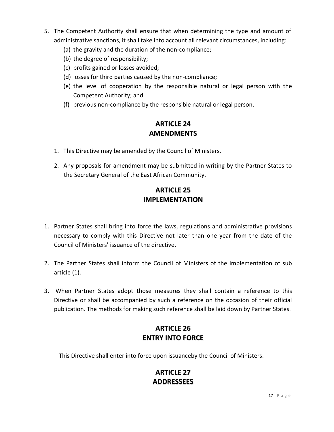- 5. The Competent Authority shall ensure that when determining the type and amount of administrative sanctions, it shall take into account all relevant circumstances, including:
	- (a) the gravity and the duration of the non-compliance;
	- (b) the degree of responsibility;
	- (c) profits gained or losses avoided;
	- (d) losses for third parties caused by the non-compliance;
	- (e) the level of cooperation by the responsible natural or legal person with the Competent Authority; and
	- (f) previous non-compliance by the responsible natural or legal person.

# **ARTICLE 24 AMENDMENTS**

- 1. This Directive may be amended by the Council of Ministers.
- 2. Any proposals for amendment may be submitted in writing by the Partner States to the Secretary General of the East African Community.

# **ARTICLE 25 IMPLEMENTATION**

- 1. Partner States shall bring into force the laws, regulations and administrative provisions necessary to comply with this Directive not later than one year from the date of the Council of Ministers' issuance of the directive.
- 2. The Partner States shall inform the Council of Ministers of the implementation of sub article (1).
- 3. When Partner States adopt those measures they shall contain a reference to this Directive or shall be accompanied by such a reference on the occasion of their official publication. The methods for making such reference shall be laid down by Partner States.

# **ARTICLE 26 ENTRY INTO FORCE**

This Directive shall enter into force upon issuanceby the Council of Ministers.

# **ARTICLE 27 ADDRESSEES**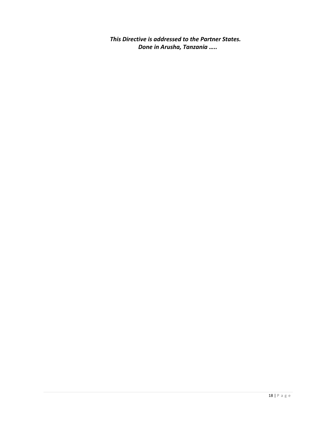*This Directive is addressed to the Partner States. Done in Arusha, Tanzania …..*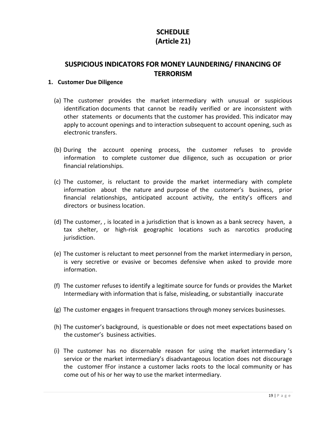# **SCHEDULE (Article 21)**

## **SUSPICIOUS INDICATORS FOR MONEY LAUNDERING/ FINANCING OF TERRORISM**

#### **1. Customer Due Diligence**

- (a) The customer provides the market intermediary with unusual or suspicious identification documents that cannot be readily verified or are inconsistent with other statements or documents that the customer has provided. This indicator may apply to account openings and to interaction subsequent to account opening, such as electronic transfers.
- (b) During the account opening process, the customer refuses to provide information to complete customer due diligence, such as occupation or prior financial relationships.
- (c) The customer, is reluctant to provide the market intermediary with complete information about the nature and purpose of the customer's business, prior financial relationships, anticipated account activity, the entity's officers and directors or business location.
- (d) The customer, , is located in a jurisdiction that is known as a bank secrecy haven, a tax shelter, or high‐risk geographic locations such as narcotics producing jurisdiction.
- (e) The customer is reluctant to meet personnel from the market intermediary in person, is very secretive or evasive or becomes defensive when asked to provide more information.
- (f) The customer refuses to identify a legitimate source for funds or provides the Market Intermediary with information that is false, misleading, or substantially inaccurate
- (g) The customer engages in frequent transactions through money services businesses.
- (h) The customer's background, is questionable or does not meet expectations based on the customer's business activities.
- (i) The customer has no discernable reason for using the market intermediary 's service or the market intermediary's disadvantageous location does not discourage the customer fFor instance a customer lacks roots to the local community or has come out of his or her way to use the market intermediary.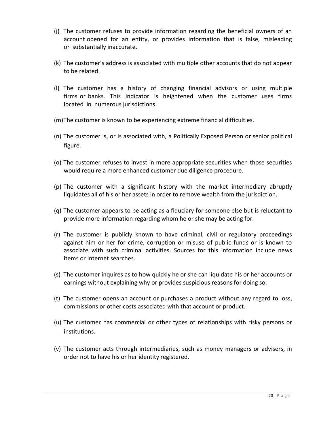- (j) The customer refuses to provide information regarding the beneficial owners of an account opened for an entity, or provides information that is false, misleading or substantially inaccurate.
- (k) The customer's address is associated with multiple other accounts that do not appear to be related.
- (l) The customer has a history of changing financial advisors or using multiple firms or banks. This indicator is heightened when the customer uses firms located in numerous jurisdictions.
- (m)The customer is known to be experiencing extreme financial difficulties.
- (n) The customer is, or is associated with, a Politically Exposed Person or senior political figure.
- (o) The customer refuses to invest in more appropriate securities when those securities would require a more enhanced customer due diligence procedure.
- (p) The customer with a significant history with the market intermediary abruptly liquidates all of his or her assets in order to remove wealth from the jurisdiction.
- (q) The customer appears to be acting as a fiduciary for someone else but is reluctant to provide more information regarding whom he or she may be acting for.
- (r) The customer is publicly known to have criminal, civil or regulatory proceedings against him or her for crime, corruption or misuse of public funds or is known to associate with such criminal activities. Sources for this information include news items or Internet searches.
- (s) The customer inquires as to how quickly he or she can liquidate his or her accounts or earnings without explaining why or provides suspicious reasons for doing so.
- (t) The customer opens an account or purchases a product without any regard to loss, commissions or other costs associated with that account or product.
- (u) The customer has commercial or other types of relationships with risky persons or institutions.
- (v) The customer acts through intermediaries, such as money managers or advisers, in order not to have his or her identity registered.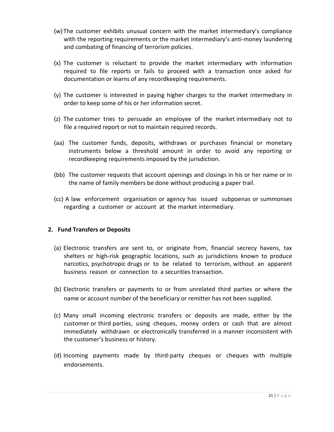- (w) The customer exhibits unusual concern with the market intermediary's compliance with the reporting requirements or the market intermediary's anti-money laundering and combating of financing of terrorism policies.
- (x) The customer is reluctant to provide the market intermediary with information required to file reports or fails to proceed with a transaction once asked for documentation or learns of any recordkeeping requirements.
- (y) The customer is interested in paying higher charges to the market intermediary in order to keep some of his or her information secret.
- (z) The customer tries to persuade an employee of the market intermediary not to file a required report or not to maintain required records.
- (aa) The customer funds, deposits, withdraws or purchases financial or monetary instruments below a threshold amount in order to avoid any reporting or recordkeeping requirements imposed by the jurisdiction.
- (bb) The customer requests that account openings and closings in his or her name or in the name of family members be done without producing a paper trail.
- (cc) A law enforcement organisation or agency has issued subpoenas or summonses regarding a customer or account at the market intermediary.

#### **2. Fund Transfers or Deposits**

- (a) Electronic transfers are sent to, or originate from, financial secrecy havens, tax shelters or high‐risk geographic locations, such as jurisdictions known to produce narcotics, psychotropic drugs or to be related to terrorism, without an apparent business reason or connection to a securities transaction.
- (b) Electronic transfers or payments to or from unrelated third parties or where the name or account number of the beneficiary or remitter has not been supplied.
- (c) Many small incoming electronic transfers or deposits are made, either by the customer or third parties, using cheques, money orders or cash that are almost immediately withdrawn or electronically transferred in a manner inconsistent with the customer's business or history.
- (d) Incoming payments made by third‐party cheques or cheques with multiple endorsements.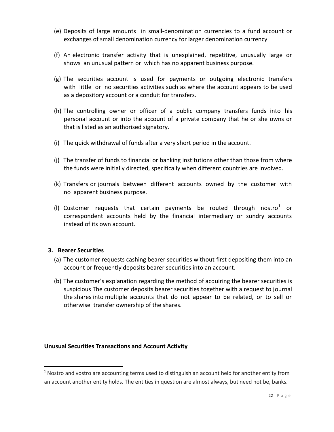- (e) Deposits of large amounts in small‐denomination currencies to a fund account or exchanges of small denomination currency for larger denomination currency
- (f) An electronic transfer activity that is unexplained, repetitive, unusually large or shows an unusual pattern or which has no apparent business purpose.
- (g) The securities account is used for payments or outgoing electronic transfers with little or no securities activities such as where the account appears to be used as a depository account or a conduit for transfers.
- (h) The controlling owner or officer of a public company transfers funds into his personal account or into the account of a private company that he or she owns or that is listed as an authorised signatory.
- (i) The quick withdrawal of funds after a very short period in the account.
- (j) The transfer of funds to financial or banking institutions other than those from where the funds were initially directed, specifically when different countries are involved.
- (k) Transfers or journals between different accounts owned by the customer with no apparent business purpose.
- (I) Customer requests that certain payments be routed through nostro<sup>1</sup> or correspondent accounts held by the financial intermediary or sundry accounts instead of its own account.

#### **3. Bearer Securities**

 $\overline{a}$ 

- (a) The customer requests cashing bearer securities without first depositing them into an account or frequently deposits bearer securities into an account.
- (b) The customer's explanation regarding the method of acquiring the bearer securities is suspicious The customer deposits bearer securities together with a request to journal the shares into multiple accounts that do not appear to be related, or to sell or otherwise transfer ownership of the shares.

#### **Unusual Securities Transactions and Account Activity**

 $<sup>1</sup>$  Nostro and vostro are accounting terms used to distinguish an account held for another entity from</sup> an account another entity holds. The entities in question are almost always, but need not be, banks.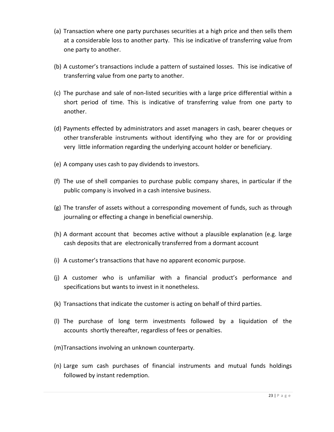- (a) Transaction where one party purchases securities at a high price and then sells them at a considerable loss to another party. This ise indicative of transferring value from one party to another.
- (b) A customer's transactions include a pattern of sustained losses. This ise indicative of transferring value from one party to another.
- (c) The purchase and sale of non‐listed securities with a large price differential within a short period of time. This is indicative of transferring value from one party to another.
- (d) Payments effected by administrators and asset managers in cash, bearer cheques or other transferable instruments without identifying who they are for or providing very little information regarding the underlying account holder or beneficiary.
- (e) A company uses cash to pay dividends to investors.
- (f) The use of shell companies to purchase public company shares, in particular if the public company is involved in a cash intensive business.
- (g) The transfer of assets without a corresponding movement of funds, such as through journaling or effecting a change in beneficial ownership.
- (h) A dormant account that becomes active without a plausible explanation (e.g. large cash deposits that are electronically transferred from a dormant account
- (i) A customer's transactions that have no apparent economic purpose.
- (j) A customer who is unfamiliar with a financial product's performance and specifications but wants to invest in it nonetheless.
- (k) Transactions that indicate the customer is acting on behalf of third parties.
- (l) The purchase of long term investments followed by a liquidation of the accounts shortly thereafter, regardless of fees or penalties.
- (m)Transactions involving an unknown counterparty.
- (n) Large sum cash purchases of financial instruments and mutual funds holdings followed by instant redemption.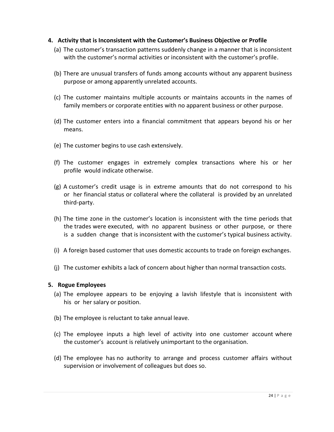#### **4. Activity that is Inconsistent with the Customer's Business Objective or Profile**

- (a) The customer's transaction patterns suddenly change in a manner that is inconsistent with the customer's normal activities or inconsistent with the customer's profile.
- (b) There are unusual transfers of funds among accounts without any apparent business purpose or among apparently unrelated accounts.
- (c) The customer maintains multiple accounts or maintains accounts in the names of family members or corporate entities with no apparent business or other purpose.
- (d) The customer enters into a financial commitment that appears beyond his or her means.
- (e) The customer begins to use cash extensively.
- (f) The customer engages in extremely complex transactions where his or her profile would indicate otherwise.
- (g) A customer's credit usage is in extreme amounts that do not correspond to his or her financial status or collateral where the collateral is provided by an unrelated third‐party.
- (h) The time zone in the customer's location is inconsistent with the time periods that the trades were executed, with no apparent business or other purpose, or there is a sudden change that is inconsistent with the customer's typical business activity.
- (i) A foreign based customer that uses domestic accounts to trade on foreign exchanges.
- (j) The customer exhibits a lack of concern about higher than normal transaction costs.

#### **5. Rogue Employees**

- (a) The employee appears to be enjoying a lavish lifestyle that is inconsistent with his or her salary or position.
- (b) The employee is reluctant to take annual leave.
- (c) The employee inputs a high level of activity into one customer account where the customer's account is relatively unimportant to the organisation.
- (d) The employee has no authority to arrange and process customer affairs without supervision or involvement of colleagues but does so.